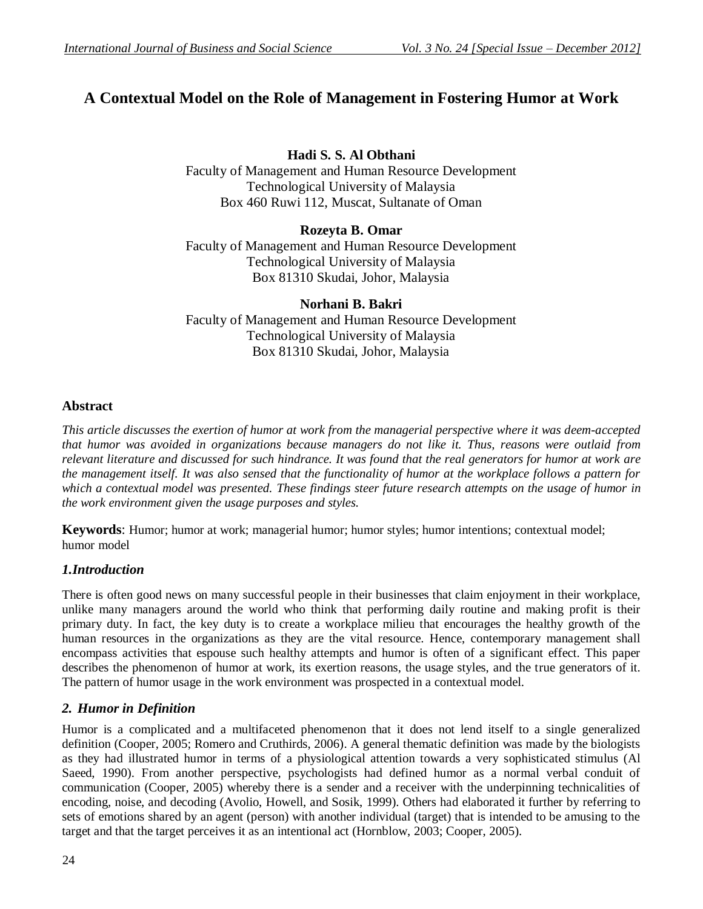# **A Contextual Model on the Role of Management in Fostering Humor at Work**

**Hadi S. S. Al Obthani**

Faculty of Management and Human Resource Development Technological University of Malaysia Box 460 Ruwi 112, Muscat, Sultanate of Oman

#### **Rozeyta B. Omar**

Faculty of Management and Human Resource Development Technological University of Malaysia Box 81310 Skudai, Johor, Malaysia

**Norhani B. Bakri** Faculty of Management and Human Resource Development Technological University of Malaysia Box 81310 Skudai, Johor, Malaysia

# **Abstract**

*This article discusses the exertion of humor at work from the managerial perspective where it was deem-accepted that humor was avoided in organizations because managers do not like it. Thus, reasons were outlaid from relevant literature and discussed for such hindrance. It was found that the real generators for humor at work are the management itself. It was also sensed that the functionality of humor at the workplace follows a pattern for which a contextual model was presented. These findings steer future research attempts on the usage of humor in the work environment given the usage purposes and styles.* 

**Keywords**: Humor; humor at work; managerial humor; humor styles; humor intentions; contextual model; humor model

# *1.Introduction*

There is often good news on many successful people in their businesses that claim enjoyment in their workplace, unlike many managers around the world who think that performing daily routine and making profit is their primary duty. In fact, the key duty is to create a workplace milieu that encourages the healthy growth of the human resources in the organizations as they are the vital resource. Hence, contemporary management shall encompass activities that espouse such healthy attempts and humor is often of a significant effect. This paper describes the phenomenon of humor at work, its exertion reasons, the usage styles, and the true generators of it. The pattern of humor usage in the work environment was prospected in a contextual model.

# *2. Humor in Definition*

Humor is a complicated and a multifaceted phenomenon that it does not lend itself to a single generalized definition (Cooper, 2005; Romero and Cruthirds, 2006). A general thematic definition was made by the biologists as they had illustrated humor in terms of a physiological attention towards a very sophisticated stimulus (Al Saeed, 1990). From another perspective, psychologists had defined humor as a normal verbal conduit of communication (Cooper, 2005) whereby there is a sender and a receiver with the underpinning technicalities of encoding, noise, and decoding (Avolio, Howell, and Sosik, 1999). Others had elaborated it further by referring to sets of emotions shared by an agent (person) with another individual (target) that is intended to be amusing to the target and that the target perceives it as an intentional act (Hornblow, 2003; Cooper, 2005).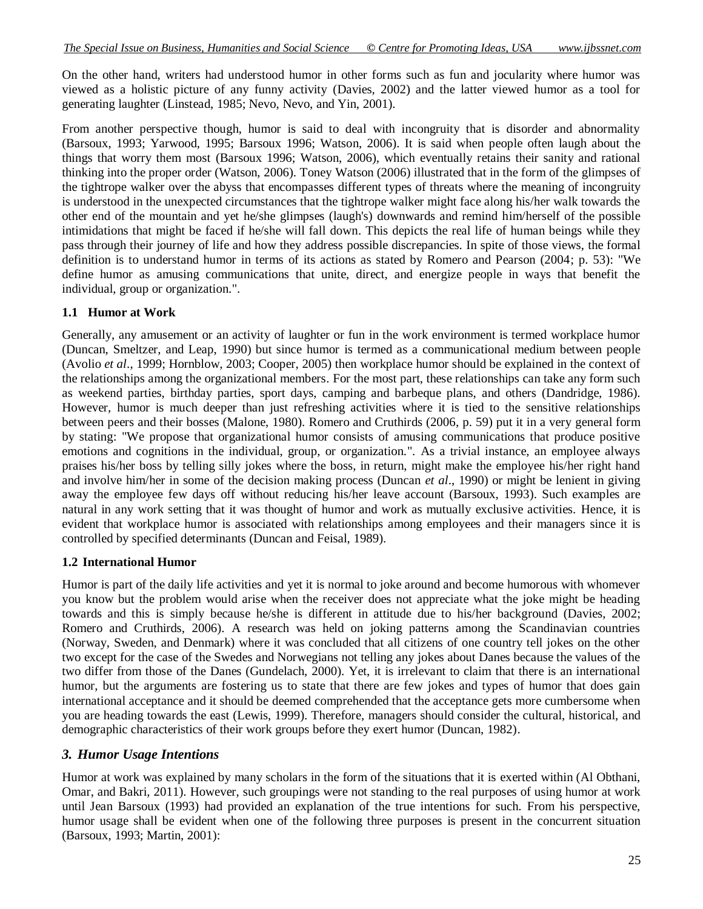On the other hand, writers had understood humor in other forms such as fun and jocularity where humor was viewed as a holistic picture of any funny activity (Davies, 2002) and the latter viewed humor as a tool for generating laughter (Linstead, 1985; Nevo, Nevo, and Yin, 2001).

From another perspective though, humor is said to deal with incongruity that is disorder and abnormality (Barsoux, 1993; Yarwood, 1995; Barsoux 1996; Watson, 2006). It is said when people often laugh about the things that worry them most (Barsoux 1996; Watson, 2006), which eventually retains their sanity and rational thinking into the proper order (Watson, 2006). Toney Watson (2006) illustrated that in the form of the glimpses of the tightrope walker over the abyss that encompasses different types of threats where the meaning of incongruity is understood in the unexpected circumstances that the tightrope walker might face along his/her walk towards the other end of the mountain and yet he/she glimpses (laugh's) downwards and remind him/herself of the possible intimidations that might be faced if he/she will fall down. This depicts the real life of human beings while they pass through their journey of life and how they address possible discrepancies. In spite of those views, the formal definition is to understand humor in terms of its actions as stated by Romero and Pearson (2004; p. 53): "We define humor as amusing communications that unite, direct, and energize people in ways that benefit the individual, group or organization.".

## **1.1 Humor at Work**

Generally, any amusement or an activity of laughter or fun in the work environment is termed workplace humor (Duncan, Smeltzer, and Leap, 1990) but since humor is termed as a communicational medium between people (Avolio *et al*., 1999; Hornblow, 2003; Cooper, 2005) then workplace humor should be explained in the context of the relationships among the organizational members. For the most part, these relationships can take any form such as weekend parties, birthday parties, sport days, camping and barbeque plans, and others (Dandridge, 1986). However, humor is much deeper than just refreshing activities where it is tied to the sensitive relationships between peers and their bosses (Malone, 1980). Romero and Cruthirds (2006, p. 59) put it in a very general form by stating: "We propose that organizational humor consists of amusing communications that produce positive emotions and cognitions in the individual, group, or organization.". As a trivial instance, an employee always praises his/her boss by telling silly jokes where the boss, in return, might make the employee his/her right hand and involve him/her in some of the decision making process (Duncan *et al*., 1990) or might be lenient in giving away the employee few days off without reducing his/her leave account (Barsoux, 1993). Such examples are natural in any work setting that it was thought of humor and work as mutually exclusive activities. Hence, it is evident that workplace humor is associated with relationships among employees and their managers since it is controlled by specified determinants (Duncan and Feisal, 1989).

#### **1.2 International Humor**

Humor is part of the daily life activities and yet it is normal to joke around and become humorous with whomever you know but the problem would arise when the receiver does not appreciate what the joke might be heading towards and this is simply because he/she is different in attitude due to his/her background (Davies, 2002; Romero and Cruthirds, 2006). A research was held on joking patterns among the Scandinavian countries (Norway, Sweden, and Denmark) where it was concluded that all citizens of one country tell jokes on the other two except for the case of the Swedes and Norwegians not telling any jokes about Danes because the values of the two differ from those of the Danes (Gundelach, 2000). Yet, it is irrelevant to claim that there is an international humor, but the arguments are fostering us to state that there are few jokes and types of humor that does gain international acceptance and it should be deemed comprehended that the acceptance gets more cumbersome when you are heading towards the east (Lewis, 1999). Therefore, managers should consider the cultural, historical, and demographic characteristics of their work groups before they exert humor (Duncan, 1982).

# *3. Humor Usage Intentions*

Humor at work was explained by many scholars in the form of the situations that it is exerted within (Al Obthani, Omar, and Bakri, 2011). However, such groupings were not standing to the real purposes of using humor at work until Jean Barsoux (1993) had provided an explanation of the true intentions for such. From his perspective, humor usage shall be evident when one of the following three purposes is present in the concurrent situation (Barsoux, 1993; Martin, 2001):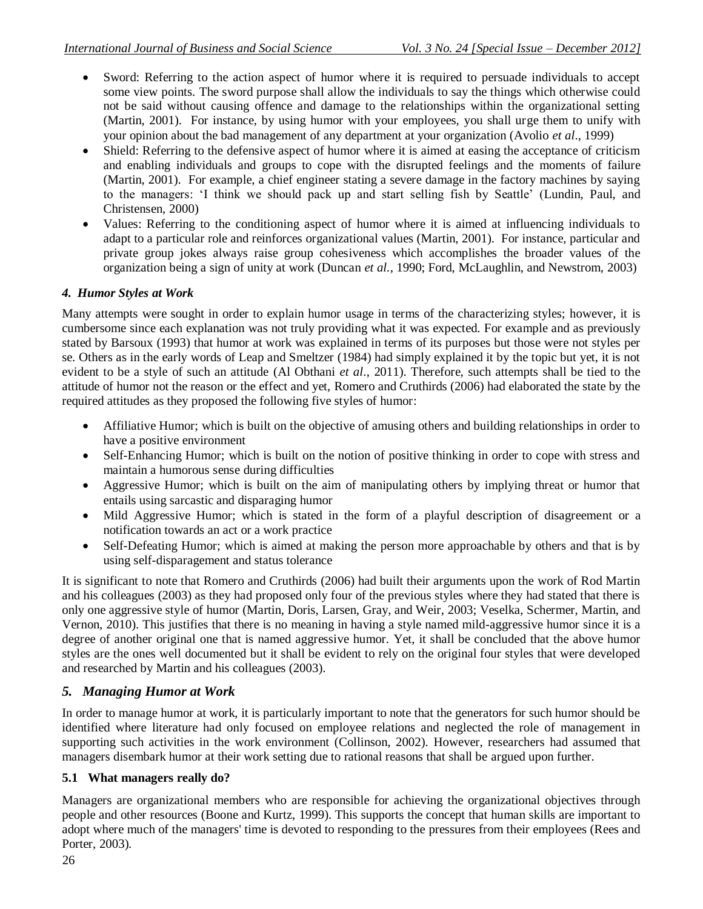- Sword: Referring to the action aspect of humor where it is required to persuade individuals to accept some view points. The sword purpose shall allow the individuals to say the things which otherwise could not be said without causing offence and damage to the relationships within the organizational setting (Martin, 2001). For instance, by using humor with your employees, you shall urge them to unify with your opinion about the bad management of any department at your organization (Avolio *et al*., 1999)
- Shield: Referring to the defensive aspect of humor where it is aimed at easing the acceptance of criticism and enabling individuals and groups to cope with the disrupted feelings and the moments of failure (Martin, 2001). For example, a chief engineer stating a severe damage in the factory machines by saying to the managers: 'I think we should pack up and start selling fish by Seattle' (Lundin, Paul, and Christensen, 2000)
- Values: Referring to the conditioning aspect of humor where it is aimed at influencing individuals to adapt to a particular role and reinforces organizational values (Martin, 2001). For instance, particular and private group jokes always raise group cohesiveness which accomplishes the broader values of the organization being a sign of unity at work (Duncan *et al.*, 1990; Ford, McLaughlin, and Newstrom, 2003)

## *4. Humor Styles at Work*

Many attempts were sought in order to explain humor usage in terms of the characterizing styles; however, it is cumbersome since each explanation was not truly providing what it was expected. For example and as previously stated by Barsoux (1993) that humor at work was explained in terms of its purposes but those were not styles per se. Others as in the early words of Leap and Smeltzer (1984) had simply explained it by the topic but yet, it is not evident to be a style of such an attitude (Al Obthani *et al*., 2011). Therefore, such attempts shall be tied to the attitude of humor not the reason or the effect and yet, Romero and Cruthirds (2006) had elaborated the state by the required attitudes as they proposed the following five styles of humor:

- Affiliative Humor; which is built on the objective of amusing others and building relationships in order to have a positive environment
- Self-Enhancing Humor; which is built on the notion of positive thinking in order to cope with stress and maintain a humorous sense during difficulties
- Aggressive Humor; which is built on the aim of manipulating others by implying threat or humor that entails using sarcastic and disparaging humor
- Mild Aggressive Humor; which is stated in the form of a playful description of disagreement or a notification towards an act or a work practice
- Self-Defeating Humor; which is aimed at making the person more approachable by others and that is by using self-disparagement and status tolerance

It is significant to note that Romero and Cruthirds (2006) had built their arguments upon the work of Rod Martin and his colleagues (2003) as they had proposed only four of the previous styles where they had stated that there is only one aggressive style of humor (Martin, Doris, Larsen, Gray, and Weir, 2003; Veselka, Schermer, Martin, and Vernon, 2010). This justifies that there is no meaning in having a style named mild-aggressive humor since it is a degree of another original one that is named aggressive humor. Yet, it shall be concluded that the above humor styles are the ones well documented but it shall be evident to rely on the original four styles that were developed and researched by Martin and his colleagues (2003).

# *5. Managing Humor at Work*

In order to manage humor at work, it is particularly important to note that the generators for such humor should be identified where literature had only focused on employee relations and neglected the role of management in supporting such activities in the work environment (Collinson, 2002). However, researchers had assumed that managers disembark humor at their work setting due to rational reasons that shall be argued upon further.

#### **5.1 What managers really do?**

Managers are organizational members who are responsible for achieving the organizational objectives through people and other resources (Boone and Kurtz, 1999). This supports the concept that human skills are important to adopt where much of the managers' time is devoted to responding to the pressures from their employees (Rees and Porter, 2003).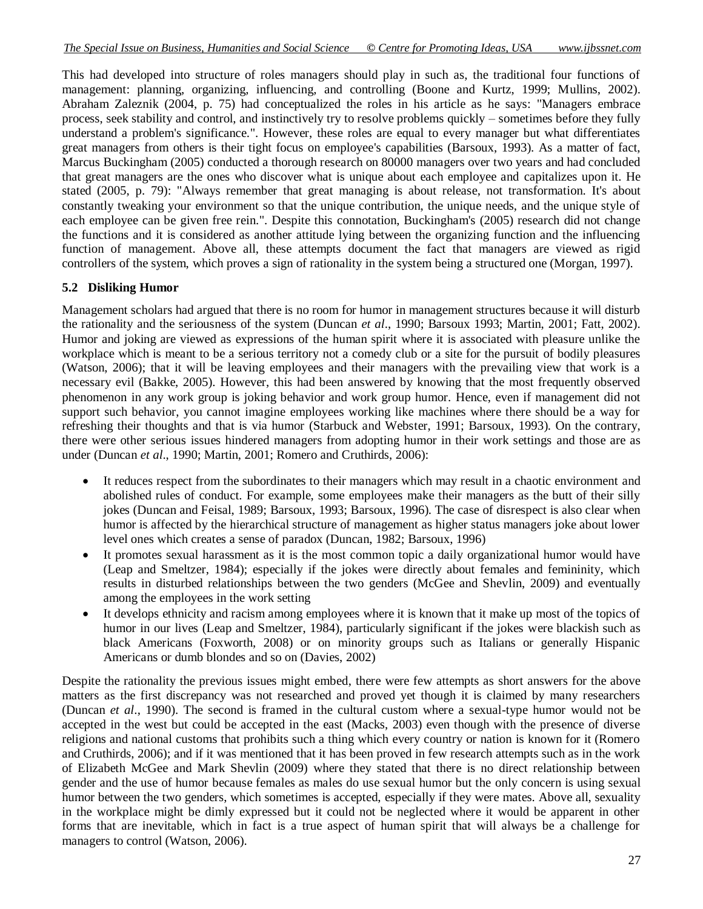This had developed into structure of roles managers should play in such as, the traditional four functions of management: planning, organizing, influencing, and controlling (Boone and Kurtz, 1999; Mullins, 2002). Abraham Zaleznik (2004, p. 75) had conceptualized the roles in his article as he says: "Managers embrace process, seek stability and control, and instinctively try to resolve problems quickly – sometimes before they fully understand a problem's significance.". However, these roles are equal to every manager but what differentiates great managers from others is their tight focus on employee's capabilities (Barsoux, 1993). As a matter of fact, Marcus Buckingham (2005) conducted a thorough research on 80000 managers over two years and had concluded that great managers are the ones who discover what is unique about each employee and capitalizes upon it. He stated (2005, p. 79): "Always remember that great managing is about release, not transformation. It's about constantly tweaking your environment so that the unique contribution, the unique needs, and the unique style of each employee can be given free rein.". Despite this connotation, Buckingham's (2005) research did not change the functions and it is considered as another attitude lying between the organizing function and the influencing function of management. Above all, these attempts document the fact that managers are viewed as rigid controllers of the system, which proves a sign of rationality in the system being a structured one (Morgan, 1997).

## **5.2 Disliking Humor**

Management scholars had argued that there is no room for humor in management structures because it will disturb the rationality and the seriousness of the system (Duncan *et al*., 1990; Barsoux 1993; Martin, 2001; Fatt, 2002). Humor and joking are viewed as expressions of the human spirit where it is associated with pleasure unlike the workplace which is meant to be a serious territory not a comedy club or a site for the pursuit of bodily pleasures (Watson, 2006); that it will be leaving employees and their managers with the prevailing view that work is a necessary evil (Bakke, 2005). However, this had been answered by knowing that the most frequently observed phenomenon in any work group is joking behavior and work group humor. Hence, even if management did not support such behavior, you cannot imagine employees working like machines where there should be a way for refreshing their thoughts and that is via humor (Starbuck and Webster, 1991; Barsoux, 1993). On the contrary, there were other serious issues hindered managers from adopting humor in their work settings and those are as under (Duncan *et al*., 1990; Martin, 2001; Romero and Cruthirds, 2006):

- It reduces respect from the subordinates to their managers which may result in a chaotic environment and abolished rules of conduct. For example, some employees make their managers as the butt of their silly jokes (Duncan and Feisal, 1989; Barsoux, 1993; Barsoux, 1996). The case of disrespect is also clear when humor is affected by the hierarchical structure of management as higher status managers joke about lower level ones which creates a sense of paradox (Duncan, 1982; Barsoux, 1996)
- It promotes sexual harassment as it is the most common topic a daily organizational humor would have (Leap and Smeltzer, 1984); especially if the jokes were directly about females and femininity, which results in disturbed relationships between the two genders (McGee and Shevlin, 2009) and eventually among the employees in the work setting
- It develops ethnicity and racism among employees where it is known that it make up most of the topics of humor in our lives (Leap and Smeltzer, 1984), particularly significant if the jokes were blackish such as black Americans (Foxworth, 2008) or on minority groups such as Italians or generally Hispanic Americans or dumb blondes and so on (Davies, 2002)

Despite the rationality the previous issues might embed, there were few attempts as short answers for the above matters as the first discrepancy was not researched and proved yet though it is claimed by many researchers (Duncan *et al*., 1990). The second is framed in the cultural custom where a sexual-type humor would not be accepted in the west but could be accepted in the east (Macks, 2003) even though with the presence of diverse religions and national customs that prohibits such a thing which every country or nation is known for it (Romero and Cruthirds, 2006); and if it was mentioned that it has been proved in few research attempts such as in the work of Elizabeth McGee and Mark Shevlin (2009) where they stated that there is no direct relationship between gender and the use of humor because females as males do use sexual humor but the only concern is using sexual humor between the two genders, which sometimes is accepted, especially if they were mates. Above all, sexuality in the workplace might be dimly expressed but it could not be neglected where it would be apparent in other forms that are inevitable, which in fact is a true aspect of human spirit that will always be a challenge for managers to control (Watson, 2006).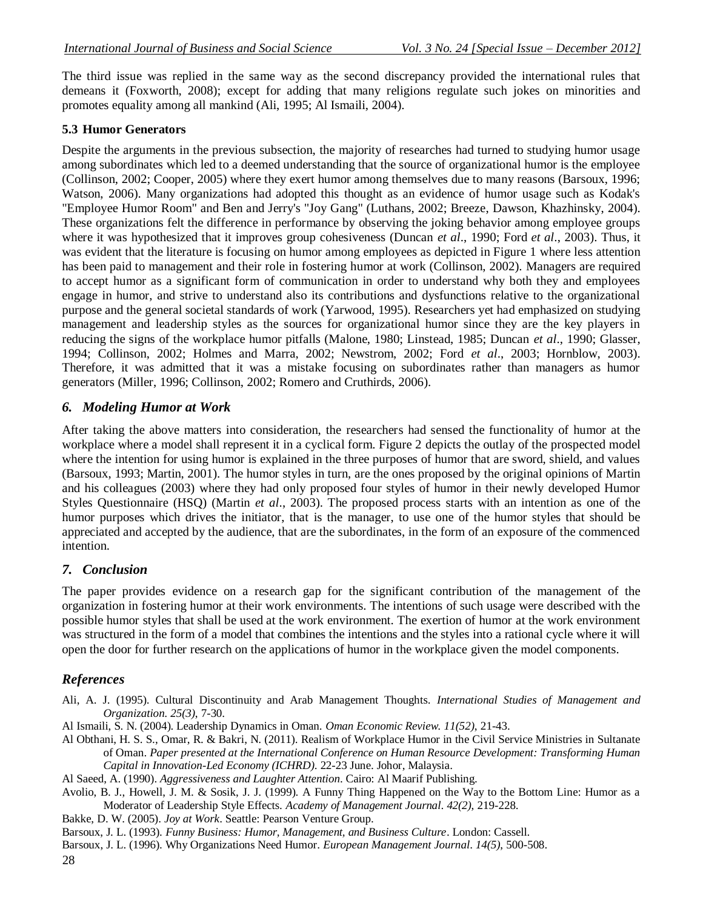The third issue was replied in the same way as the second discrepancy provided the international rules that demeans it (Foxworth, 2008); except for adding that many religions regulate such jokes on minorities and promotes equality among all mankind (Ali, 1995; Al Ismaili, 2004).

#### **5.3 Humor Generators**

Despite the arguments in the previous subsection, the majority of researches had turned to studying humor usage among subordinates which led to a deemed understanding that the source of organizational humor is the employee (Collinson, 2002; Cooper, 2005) where they exert humor among themselves due to many reasons (Barsoux, 1996; Watson, 2006). Many organizations had adopted this thought as an evidence of humor usage such as Kodak's "Employee Humor Room" and Ben and Jerry's "Joy Gang" (Luthans, 2002; Breeze, Dawson, Khazhinsky, 2004). These organizations felt the difference in performance by observing the joking behavior among employee groups where it was hypothesized that it improves group cohesiveness (Duncan *et al*., 1990; Ford *et al*., 2003). Thus, it was evident that the literature is focusing on humor among employees as depicted in Figure 1 where less attention has been paid to management and their role in fostering humor at work (Collinson, 2002). Managers are required to accept humor as a significant form of communication in order to understand why both they and employees engage in humor, and strive to understand also its contributions and dysfunctions relative to the organizational purpose and the general societal standards of work (Yarwood, 1995). Researchers yet had emphasized on studying management and leadership styles as the sources for organizational humor since they are the key players in reducing the signs of the workplace humor pitfalls (Malone, 1980; Linstead, 1985; Duncan *et al*., 1990; Glasser, 1994; Collinson, 2002; Holmes and Marra, 2002; Newstrom, 2002; Ford *et al*., 2003; Hornblow, 2003). Therefore, it was admitted that it was a mistake focusing on subordinates rather than managers as humor generators (Miller, 1996; Collinson, 2002; Romero and Cruthirds, 2006).

#### *6. Modeling Humor at Work*

After taking the above matters into consideration, the researchers had sensed the functionality of humor at the workplace where a model shall represent it in a cyclical form. Figure 2 depicts the outlay of the prospected model where the intention for using humor is explained in the three purposes of humor that are sword, shield, and values (Barsoux, 1993; Martin, 2001). The humor styles in turn, are the ones proposed by the original opinions of Martin and his colleagues (2003) where they had only proposed four styles of humor in their newly developed Humor Styles Questionnaire (HSQ) (Martin *et al*., 2003). The proposed process starts with an intention as one of the humor purposes which drives the initiator, that is the manager, to use one of the humor styles that should be appreciated and accepted by the audience, that are the subordinates, in the form of an exposure of the commenced intention.

#### *7. Conclusion*

The paper provides evidence on a research gap for the significant contribution of the management of the organization in fostering humor at their work environments. The intentions of such usage were described with the possible humor styles that shall be used at the work environment. The exertion of humor at the work environment was structured in the form of a model that combines the intentions and the styles into a rational cycle where it will open the door for further research on the applications of humor in the workplace given the model components.

#### *References*

- Ali, A. J. (1995). Cultural Discontinuity and Arab Management Thoughts. *International Studies of Management and Organization. 25(3)*, 7-30.
- Al Ismaili, S. N. (2004). Leadership Dynamics in Oman. *Oman Economic Review. 11(52)*, 21-43.
- Al Obthani, H. S. S., Omar, R. & Bakri, N. (2011). Realism of Workplace Humor in the Civil Service Ministries in Sultanate of Oman. *Paper presented at the International Conference on Human Resource Development: Transforming Human Capital in Innovation-Led Economy (ICHRD)*. 22-23 June. Johor, Malaysia.

Al Saeed, A. (1990). *Aggressiveness and Laughter Attention*. Cairo: Al Maarif Publishing.

- Avolio, B. J., Howell, J. M. & Sosik, J. J. (1999). A Funny Thing Happened on the Way to the Bottom Line: Humor as a Moderator of Leadership Style Effects. *Academy of Management Journal*. *42(2)*, 219-228.
- Bakke, D. W. (2005). *Joy at Work*. Seattle: Pearson Venture Group.
- Barsoux, J. L. (1993). *Funny Business: Humor, Management, and Business Culture*. London: Cassell.

Barsoux, J. L. (1996). Why Organizations Need Humor. *European Management Journal*. *14(5)*, 500-508.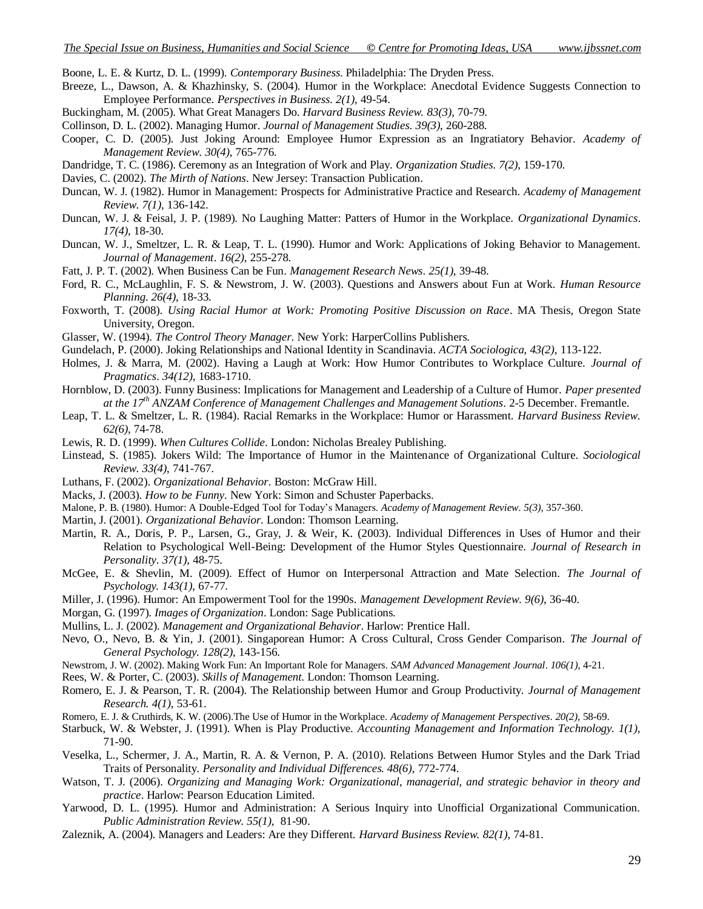- Boone, L. E. & Kurtz, D. L. (1999). *Contemporary Business*. Philadelphia: The Dryden Press.
- Breeze, L., Dawson, A. & Khazhinsky, S. (2004). Humor in the Workplace: Anecdotal Evidence Suggests Connection to Employee Performance. *Perspectives in Business. 2(1)*, 49-54.
- Buckingham, M. (2005). What Great Managers Do. *Harvard Business Review. 83(3)*, 70-79.
- Collinson, D. L. (2002). Managing Humor. *Journal of Management Studies*. *39(3)*, 260-288.
- Cooper, C. D. (2005). Just Joking Around: Employee Humor Expression as an Ingratiatory Behavior. *Academy of Management Review*. *30(4)*, 765-776.
- Dandridge, T. C. (1986). Ceremony as an Integration of Work and Play. *Organization Studies. 7(2)*, 159-170.
- Davies, C. (2002). *The Mirth of Nations*. New Jersey: Transaction Publication.
- Duncan, W. J. (1982). Humor in Management: Prospects for Administrative Practice and Research. *Academy of Management Review*. *7(1)*, 136-142.
- Duncan, W. J. & Feisal, J. P. (1989). No Laughing Matter: Patters of Humor in the Workplace. *Organizational Dynamics*. *17(4)*, 18-30.
- Duncan, W. J., Smeltzer, L. R. & Leap, T. L. (1990). Humor and Work: Applications of Joking Behavior to Management. *Journal of Management*. *16(2)*, 255-278.
- Fatt, J. P. T. (2002). When Business Can be Fun. *Management Research News*. *25(1)*, 39-48.
- Ford, R. C., McLaughlin, F. S. & Newstrom, J. W. (2003). Questions and Answers about Fun at Work. *Human Resource Planning*. *26(4)*, 18-33.
- Foxworth, T. (2008). *Using Racial Humor at Work: Promoting Positive Discussion on Race*. MA Thesis, Oregon State University, Oregon.
- Glasser, W. (1994). *The Control Theory Manager*. New York: HarperCollins Publishers.
- Gundelach, P. (2000). Joking Relationships and National Identity in Scandinavia. *ACTA Sociologica, 43(2)*, 113-122.
- Holmes, J. & Marra, M. (2002). Having a Laugh at Work: How Humor Contributes to Workplace Culture. *Journal of Pragmatics*. *34(12)*, 1683-1710.
- Hornblow, D. (2003). Funny Business: Implications for Management and Leadership of a Culture of Humor. *Paper presented at the 17th ANZAM Conference of Management Challenges and Management Solutions*. 2-5 December. Fremantle.
- Leap, T. L. & Smeltzer, L. R. (1984). Racial Remarks in the Workplace: Humor or Harassment. *Harvard Business Review*. *62(6)*, 74-78.
- Lewis, R. D. (1999). *When Cultures Collide*. London: Nicholas Brealey Publishing.
- Linstead, S. (1985). Jokers Wild: The Importance of Humor in the Maintenance of Organizational Culture. *Sociological Review*. *33(4)*, 741-767.
- Luthans, F. (2002). *Organizational Behavior*. Boston: McGraw Hill.
- Macks, J. (2003). *How to be Funny*. New York: Simon and Schuster Paperbacks.
- Malone, P. B. (1980). Humor: A Double-Edged Tool for Today's Managers. *Academy of Management Review*. *5(3)*, 357-360.
- Martin, J. (2001). *Organizational Behavior*. London: Thomson Learning.
- Martin, R. A., Doris, P. P., Larsen, G., Gray, J. & Weir, K. (2003). Individual Differences in Uses of Humor and their Relation to Psychological Well-Being: Development of the Humor Styles Questionnaire. *Journal of Research in Personality*. *37(1)*, 48-75.
- McGee, E. & Shevlin, M. (2009). Effect of Humor on Interpersonal Attraction and Mate Selection. *The Journal of Psychology. 143(1)*, 67-77.
- Miller, J. (1996). Humor: An Empowerment Tool for the 1990s. *Management Development Review*. *9(6)*, 36-40.
- Morgan, G. (1997). *Images of Organization*. London: Sage Publications.
- Mullins, L. J. (2002). *Management and Organizational Behavior*. Harlow: Prentice Hall.
- Nevo, O., Nevo, B. & Yin, J. (2001). Singaporean Humor: A Cross Cultural, Cross Gender Comparison. *The Journal of General Psychology. 128(2)*, 143-156.
- Newstrom, J. W. (2002). Making Work Fun: An Important Role for Managers. *SAM Advanced Management Journal*. *106(1)*, 4-21.
- Rees, W. & Porter, C. (2003). *Skills of Management*. London: Thomson Learning.
- Romero, E. J. & Pearson, T. R. (2004). The Relationship between Humor and Group Productivity. *Journal of Management Research. 4(1)*, 53-61.
- Romero, E. J. & Cruthirds, K. W. (2006).The Use of Humor in the Workplace. *Academy of Management Perspectives*. *20(2)*, 58-69.
- Starbuck, W. & Webster, J. (1991). When is Play Productive. *Accounting Management and Information Technology. 1(1)*, 71-90.
- Veselka, L., Schermer, J. A., Martin, R. A. & Vernon, P. A. (2010). Relations Between Humor Styles and the Dark Triad Traits of Personality. *Personality and Individual Differences. 48(6)*, 772-774.
- Watson, T. J. (2006). *Organizing and Managing Work: Organizational, managerial, and strategic behavior in theory and practice*. Harlow: Pearson Education Limited.
- Yarwood, D. L. (1995). Humor and Administration: A Serious Inquiry into Unofficial Organizational Communication. *Public Administration Review*. *55(1)*, 81-90.
- Zaleznik, A. (2004). Managers and Leaders: Are they Different. *Harvard Business Review. 82(1)*, 74-81.